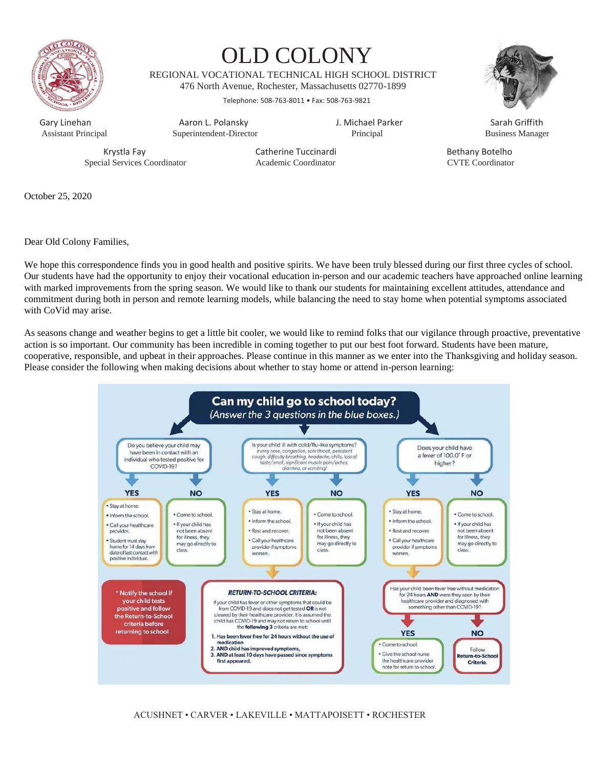

# OLD COLONY

REGIONAL VOCATIONAL TECHNICAL HIGH SCHOOL DISTRICT 476 North Avenue, Rochester, Massachusetts 02770-1899

Telephone: 508-763-8011 • Fax: 508-763-9821



Assistant Principal Superintendent-Director Principal Business Manager

Gary Linehan **Aaron L. Polansky** J. Michael Parker Sarah Griffith Sarah Griffith (Sarah Griffith Sarah Griffith<br>Assistant Principal Superintendent-Director (Sarah Principal Principal Susiness Manage

Special Services Coordinator Academic Coordinator CVTE Coordinator

Krystla Fay **Catherine Tuccinardi** Bethany Botelho

October 25, 2020

Dear Old Colony Families,

We hope this correspondence finds you in good health and positive spirits. We have been truly blessed during our first three cycles of school. Our students have had the opportunity to enjoy their vocational education in-person and our academic teachers have approached online learning with marked improvements from the spring season. We would like to thank our students for maintaining excellent attitudes, attendance and commitment during both in person and remote learning models, while balancing the need to stay home when potential symptoms associated with CoVid may arise.

As seasons change and weather begins to get a little bit cooler, we would like to remind folks that our vigilance through proactive, preventative action is so important. Our community has been incredible in coming together to put our best foot forward. Students have been mature, cooperative, responsible, and upbeat in their approaches. Please continue in this manner as we enter into the Thanksgiving and holiday season. Please consider the following when making decisions about whether to stay home or attend in-person learning:



ACUSHNET • CARVER • LAKEVILLE • MATTAPOISETT • ROCHESTER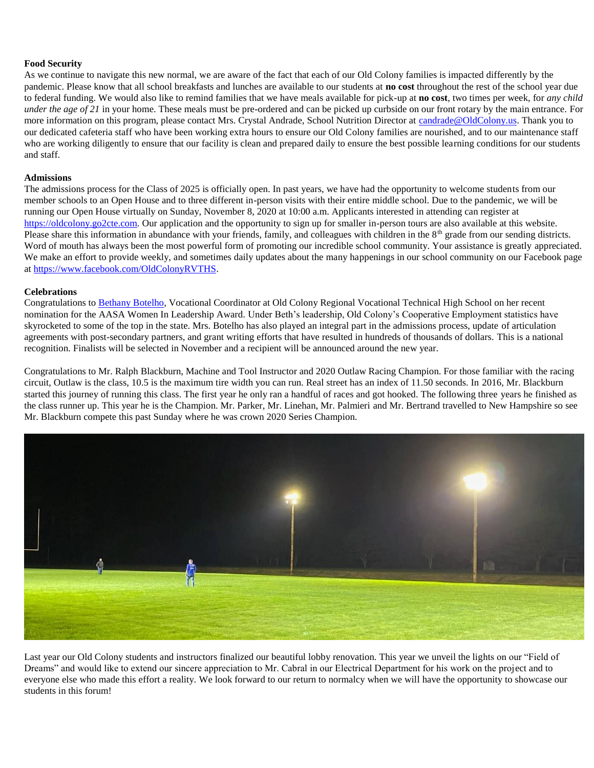## **Food Security**

As we continue to navigate this new normal, we are aware of the fact that each of our Old Colony families is impacted differently by the pandemic. Please know that all school breakfasts and lunches are available to our students at **no cost** throughout the rest of the school year due to federal funding. We would also like to remind families that we have meals available for pick-up at **no cost**, two times per week, for *any child under the age of 21* in your home. These meals must be pre-ordered and can be picked up curbside on our front rotary by the main entrance. For more information on this program, please contact Mrs. Crystal Andrade, School Nutrition Director at [candrade@OldColony.us.](mailto:candrade@OldColony.us) Thank you to our dedicated cafeteria staff who have been working extra hours to ensure our Old Colony families are nourished, and to our maintenance staff who are working diligently to ensure that our facility is clean and prepared daily to ensure the best possible learning conditions for our students and staff.

## **Admissions**

The admissions process for the Class of 2025 is officially open. In past years, we have had the opportunity to welcome students from our member schools to an Open House and to three different in-person visits with their entire middle school. Due to the pandemic, we will be running our Open House virtually on Sunday, November 8, 2020 at 10:00 a.m. Applicants interested in attending can register at [https://oldcolony.go2cte.com.](https://oldcolony.go2cte.com/) Our application and the opportunity to sign up for smaller in-person tours are also available at this website. Please share this information in abundance with your friends, family, and colleagues with children in the 8<sup>th</sup> grade from our sending districts. Word of mouth has always been the most powerful form of promoting our incredible school community. Your assistance is greatly appreciated. We make an effort to provide weekly, and sometimes daily updates about the many happenings in our school community on our Facebook page a[t https://www.facebook.com/OldColonyRVTHS.](https://www.facebook.com/OldColonyRVTHS)

#### **Celebrations**

Congratulations to [Bethany Botelho,](https://www.facebook.com/watch/?v=765835530654536) Vocational Coordinator at Old Colony Regional Vocational Technical High School on her recent nomination for the AASA Women In Leadership Award. Under Beth's leadership, Old Colony's Cooperative Employment statistics have skyrocketed to some of the top in the state. Mrs. Botelho has also played an integral part in the admissions process, update of articulation agreements with post-secondary partners, and grant writing efforts that have resulted in hundreds of thousands of dollars. This is a national recognition. Finalists will be selected in November and a recipient will be announced around the new year.

Congratulations to Mr. Ralph Blackburn, Machine and Tool Instructor and 2020 Outlaw Racing Champion. For those familiar with the racing circuit, Outlaw is the class, 10.5 is the maximum tire width you can run. Real street has an index of 11.50 seconds. In 2016, Mr. Blackburn started this journey of running this class. The first year he only ran a handful of races and got hooked. The following three years he finished as the class runner up. This year he is the Champion. Mr. Parker, Mr. Linehan, Mr. Palmieri and Mr. Bertrand travelled to New Hampshire so see Mr. Blackburn compete this past Sunday where he was crown 2020 Series Champion.



Last year our Old Colony students and instructors finalized our beautiful lobby renovation. This year we unveil the lights on our "Field of Dreams" and would like to extend our sincere appreciation to Mr. Cabral in our Electrical Department for his work on the project and to everyone else who made this effort a reality. We look forward to our return to normalcy when we will have the opportunity to showcase our students in this forum!